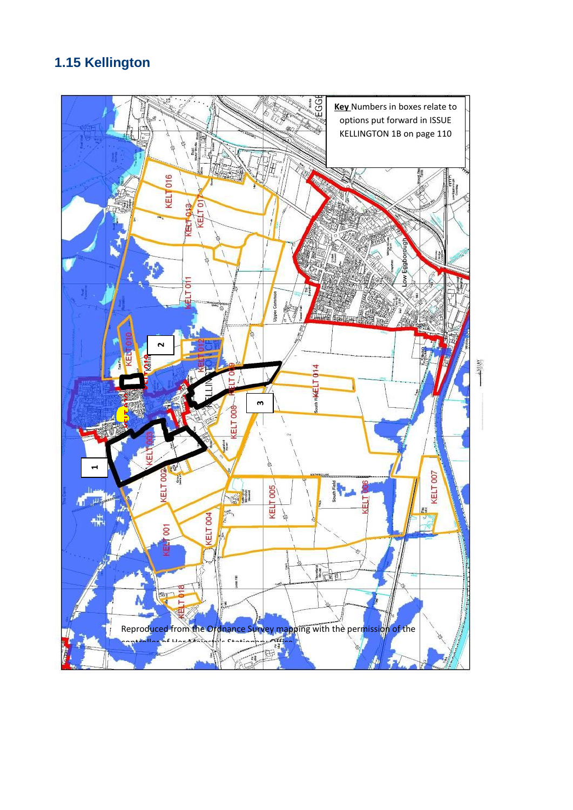# **1.15 Kellington**

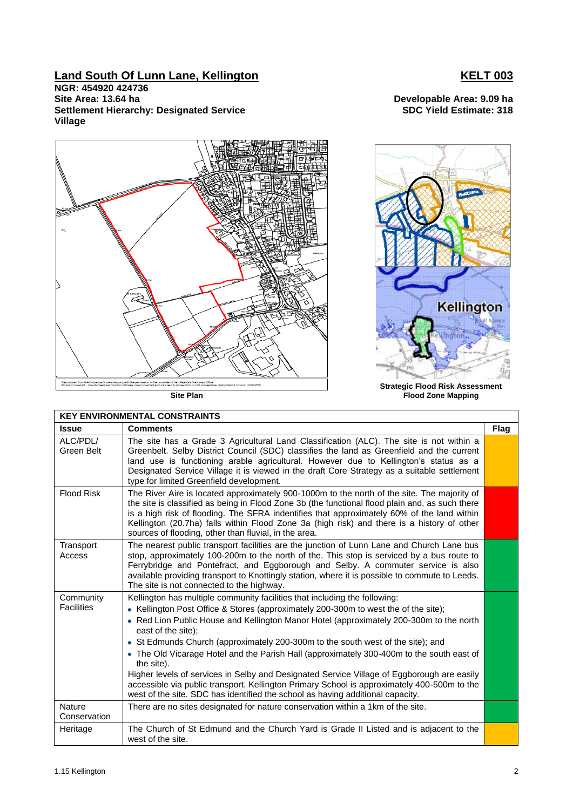# **Land South Of Lunn Lane, Kellington KELT 003**

**NGR: 454920 424736 Site Area: 13.64 ha Developable Area: 9.09 ha Settlement Hierarchy: Designated Service Village**

**SDC Yield Estimate: 318**



**Site Plan**

| <b>KEY ENVIRONMENTAL CONSTRAINTS</b> |                                                                                                                                                                                                                                                                                                                                                                                                                                                                                                                                                                                                                                                                                                                                                                 |      |  |  |  |
|--------------------------------------|-----------------------------------------------------------------------------------------------------------------------------------------------------------------------------------------------------------------------------------------------------------------------------------------------------------------------------------------------------------------------------------------------------------------------------------------------------------------------------------------------------------------------------------------------------------------------------------------------------------------------------------------------------------------------------------------------------------------------------------------------------------------|------|--|--|--|
| <b>Issue</b>                         | <b>Comments</b>                                                                                                                                                                                                                                                                                                                                                                                                                                                                                                                                                                                                                                                                                                                                                 | Flag |  |  |  |
| ALC/PDL/<br>Green Belt               | The site has a Grade 3 Agricultural Land Classification (ALC). The site is not within a<br>Greenbelt. Selby District Council (SDC) classifies the land as Greenfield and the current<br>land use is functioning arable agricultural. However due to Kellington's status as a<br>Designated Service Village it is viewed in the draft Core Strategy as a suitable settlement<br>type for limited Greenfield development.                                                                                                                                                                                                                                                                                                                                         |      |  |  |  |
| <b>Flood Risk</b>                    | The River Aire is located approximately 900-1000m to the north of the site. The majority of<br>the site is classified as being in Flood Zone 3b (the functional flood plain and, as such there<br>is a high risk of flooding. The SFRA indentifies that approximately 60% of the land within<br>Kellington (20.7ha) falls within Flood Zone 3a (high risk) and there is a history of other<br>sources of flooding, other than fluvial, in the area.                                                                                                                                                                                                                                                                                                             |      |  |  |  |
| Transport<br>Access                  | The nearest public transport facilities are the junction of Lunn Lane and Church Lane bus<br>stop, approximately 100-200m to the north of the. This stop is serviced by a bus route to<br>Ferrybridge and Pontefract, and Eggborough and Selby. A commuter service is also<br>available providing transport to Knottingly station, where it is possible to commute to Leeds.<br>The site is not connected to the highway.                                                                                                                                                                                                                                                                                                                                       |      |  |  |  |
| Community<br><b>Facilities</b>       | Kellington has multiple community facilities that including the following:<br>• Kellington Post Office & Stores (approximately 200-300m to west the of the site);<br>• Red Lion Public House and Kellington Manor Hotel (approximately 200-300m to the north<br>east of the site);<br>• St Edmunds Church (approximately 200-300m to the south west of the site); and<br>• The Old Vicarage Hotel and the Parish Hall (approximately 300-400m to the south east of<br>the site).<br>Higher levels of services in Selby and Designated Service Village of Eggborough are easily<br>accessible via public transport. Kellington Primary School is approximately 400-500m to the<br>west of the site. SDC has identified the school as having additional capacity. |      |  |  |  |
| <b>Nature</b><br>Conservation        | There are no sites designated for nature conservation within a 1km of the site.                                                                                                                                                                                                                                                                                                                                                                                                                                                                                                                                                                                                                                                                                 |      |  |  |  |
| Heritage                             | The Church of St Edmund and the Church Yard is Grade II Listed and is adjacent to the<br>west of the site.                                                                                                                                                                                                                                                                                                                                                                                                                                                                                                                                                                                                                                                      |      |  |  |  |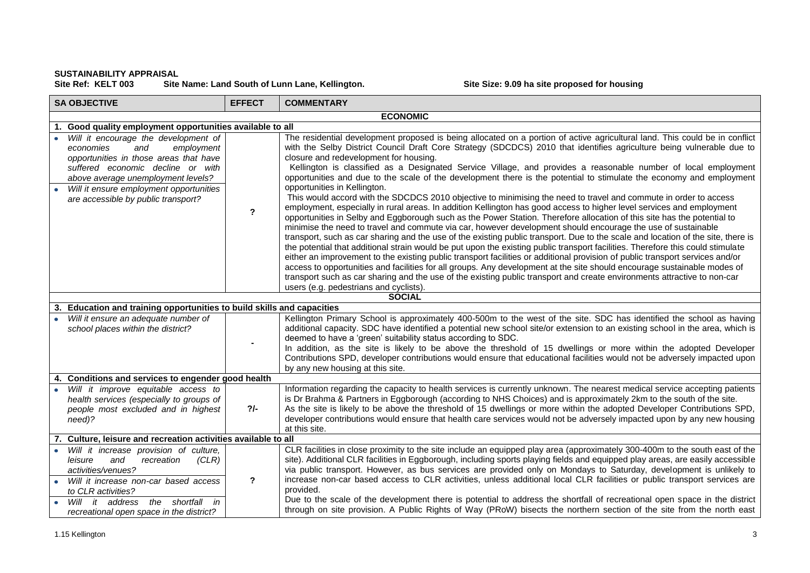### **SUSTAINABILITY APPRAISAL** Site Name: Land South of Lunn Lane, Kellington. Site Size: 9.09 ha site proposed for housing

| <b>SA OBJECTIVE</b>                                                                                                                                                                                                                                                           | <b>EFFECT</b>             | <b>COMMENTARY</b>                                                                                                                                                                                                                                                                                                                                                                                                                                                                                                                                                                                                                                                                                                                                                                                                                                                                                                                                                                                                                                                                                                                                                                                                                                                                                                                                                                                                                                                                                                                                                                                                                                                                                                                |
|-------------------------------------------------------------------------------------------------------------------------------------------------------------------------------------------------------------------------------------------------------------------------------|---------------------------|----------------------------------------------------------------------------------------------------------------------------------------------------------------------------------------------------------------------------------------------------------------------------------------------------------------------------------------------------------------------------------------------------------------------------------------------------------------------------------------------------------------------------------------------------------------------------------------------------------------------------------------------------------------------------------------------------------------------------------------------------------------------------------------------------------------------------------------------------------------------------------------------------------------------------------------------------------------------------------------------------------------------------------------------------------------------------------------------------------------------------------------------------------------------------------------------------------------------------------------------------------------------------------------------------------------------------------------------------------------------------------------------------------------------------------------------------------------------------------------------------------------------------------------------------------------------------------------------------------------------------------------------------------------------------------------------------------------------------------|
|                                                                                                                                                                                                                                                                               |                           | <b>ECONOMIC</b>                                                                                                                                                                                                                                                                                                                                                                                                                                                                                                                                                                                                                                                                                                                                                                                                                                                                                                                                                                                                                                                                                                                                                                                                                                                                                                                                                                                                                                                                                                                                                                                                                                                                                                                  |
| Good quality employment opportunities available to all<br>1.                                                                                                                                                                                                                  |                           |                                                                                                                                                                                                                                                                                                                                                                                                                                                                                                                                                                                                                                                                                                                                                                                                                                                                                                                                                                                                                                                                                                                                                                                                                                                                                                                                                                                                                                                                                                                                                                                                                                                                                                                                  |
| Will it encourage the development of<br>employment<br>economies<br>and<br>opportunities in those areas that have<br>suffered economic decline or with<br>above average unemployment levels?<br>Will it ensure employment opportunities<br>are accessible by public transport? | $\mathbf{r}$              | The residential development proposed is being allocated on a portion of active agricultural land. This could be in conflict<br>with the Selby District Council Draft Core Strategy (SDCDCS) 2010 that identifies agriculture being vulnerable due to<br>closure and redevelopment for housing.<br>Kellington is classified as a Designated Service Village, and provides a reasonable number of local employment<br>opportunities and due to the scale of the development there is the potential to stimulate the economy and employment<br>opportunities in Kellington.<br>This would accord with the SDCDCS 2010 objective to minimising the need to travel and commute in order to access<br>employment, especially in rural areas. In addition Kellington has good access to higher level services and employment<br>opportunities in Selby and Eggborough such as the Power Station. Therefore allocation of this site has the potential to<br>minimise the need to travel and commute via car, however development should encourage the use of sustainable<br>transport, such as car sharing and the use of the existing public transport. Due to the scale and location of the site, there is<br>the potential that additional strain would be put upon the existing public transport facilities. Therefore this could stimulate<br>either an improvement to the existing public transport facilities or additional provision of public transport services and/or<br>access to opportunities and facilities for all groups. Any development at the site should encourage sustainable modes of<br>transport such as car sharing and the use of the existing public transport and create environments attractive to non-car |
|                                                                                                                                                                                                                                                                               |                           | users (e.g. pedestrians and cyclists).                                                                                                                                                                                                                                                                                                                                                                                                                                                                                                                                                                                                                                                                                                                                                                                                                                                                                                                                                                                                                                                                                                                                                                                                                                                                                                                                                                                                                                                                                                                                                                                                                                                                                           |
|                                                                                                                                                                                                                                                                               |                           | <b>SOCIAL</b>                                                                                                                                                                                                                                                                                                                                                                                                                                                                                                                                                                                                                                                                                                                                                                                                                                                                                                                                                                                                                                                                                                                                                                                                                                                                                                                                                                                                                                                                                                                                                                                                                                                                                                                    |
| Education and training opportunities to build skills and capacities<br>З.                                                                                                                                                                                                     |                           |                                                                                                                                                                                                                                                                                                                                                                                                                                                                                                                                                                                                                                                                                                                                                                                                                                                                                                                                                                                                                                                                                                                                                                                                                                                                                                                                                                                                                                                                                                                                                                                                                                                                                                                                  |
| Will it ensure an adequate number of<br>school places within the district?                                                                                                                                                                                                    |                           | Kellington Primary School is approximately 400-500m to the west of the site. SDC has identified the school as having<br>additional capacity. SDC have identified a potential new school site/or extension to an existing school in the area, which is<br>deemed to have a 'green' suitability status according to SDC.<br>In addition, as the site is likely to be above the threshold of 15 dwellings or more within the adopted Developer<br>Contributions SPD, developer contributions would ensure that educational facilities would not be adversely impacted upon<br>by any new housing at this site.                                                                                                                                                                                                                                                                                                                                                                                                                                                                                                                                                                                                                                                                                                                                                                                                                                                                                                                                                                                                                                                                                                                      |
| Conditions and services to engender good health                                                                                                                                                                                                                               |                           |                                                                                                                                                                                                                                                                                                                                                                                                                                                                                                                                                                                                                                                                                                                                                                                                                                                                                                                                                                                                                                                                                                                                                                                                                                                                                                                                                                                                                                                                                                                                                                                                                                                                                                                                  |
| Will it improve equitable access to<br>health services (especially to groups of<br>people most excluded and in highest<br>need)?                                                                                                                                              | $2/-$                     | Information regarding the capacity to health services is currently unknown. The nearest medical service accepting patients<br>is Dr Brahma & Partners in Eggborough (according to NHS Choices) and is approximately 2km to the south of the site.<br>As the site is likely to be above the threshold of 15 dwellings or more within the adopted Developer Contributions SPD,<br>developer contributions would ensure that health care services would not be adversely impacted upon by any new housing<br>at this site.                                                                                                                                                                                                                                                                                                                                                                                                                                                                                                                                                                                                                                                                                                                                                                                                                                                                                                                                                                                                                                                                                                                                                                                                          |
| Culture, leisure and recreation activities available to all                                                                                                                                                                                                                   |                           |                                                                                                                                                                                                                                                                                                                                                                                                                                                                                                                                                                                                                                                                                                                                                                                                                                                                                                                                                                                                                                                                                                                                                                                                                                                                                                                                                                                                                                                                                                                                                                                                                                                                                                                                  |
| Will it increase provision of culture,<br>and<br>(CLR)<br>leisure<br>recreation<br>activities/venues?<br>Will it increase non-car based access<br>to CLR activities?<br>Will it address the shortfall in<br>recreational open space in the district?                          | $\boldsymbol{\mathsf{?}}$ | CLR facilities in close proximity to the site include an equipped play area (approximately 300-400m to the south east of the<br>site). Additional CLR facilities in Eggborough, including sports playing fields and equipped play areas, are easily accessible<br>via public transport. However, as bus services are provided only on Mondays to Saturday, development is unlikely to<br>increase non-car based access to CLR activities, unless additional local CLR facilities or public transport services are<br>provided.<br>Due to the scale of the development there is potential to address the shortfall of recreational open space in the district<br>through on site provision. A Public Rights of Way (PRoW) bisects the northern section of the site from the north east                                                                                                                                                                                                                                                                                                                                                                                                                                                                                                                                                                                                                                                                                                                                                                                                                                                                                                                                            |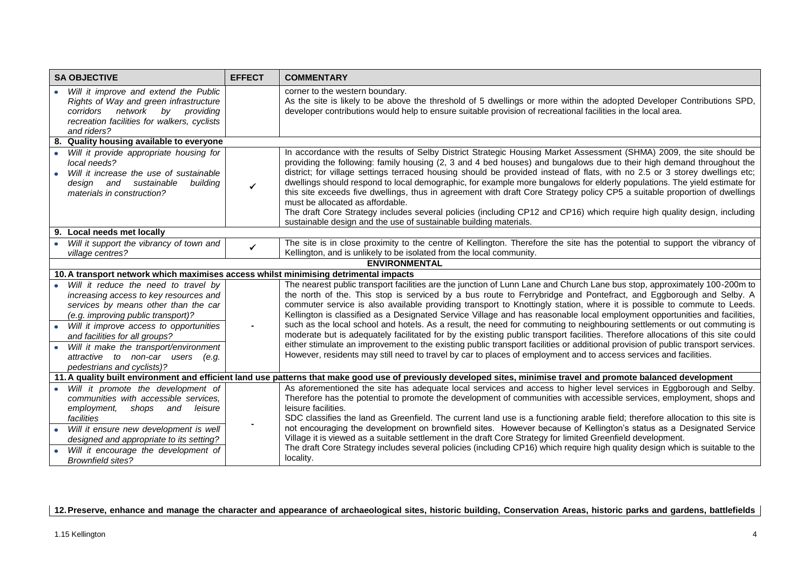| <b>SA OBJECTIVE</b>                                                                                                                                                                                                                                                                 | <b>EFFECT</b>  | <b>COMMENTARY</b>                                                                                                                                                                                                                                                                                                                                                                                                                                                                                                                                                                                                                                                                                                                                                                                                                                                                                            |
|-------------------------------------------------------------------------------------------------------------------------------------------------------------------------------------------------------------------------------------------------------------------------------------|----------------|--------------------------------------------------------------------------------------------------------------------------------------------------------------------------------------------------------------------------------------------------------------------------------------------------------------------------------------------------------------------------------------------------------------------------------------------------------------------------------------------------------------------------------------------------------------------------------------------------------------------------------------------------------------------------------------------------------------------------------------------------------------------------------------------------------------------------------------------------------------------------------------------------------------|
| Will it improve and extend the Public<br>Rights of Way and green infrastructure<br>corridors network by providing<br>recreation facilities for walkers, cyclists<br>and riders?                                                                                                     |                | corner to the western boundary.<br>As the site is likely to be above the threshold of 5 dwellings or more within the adopted Developer Contributions SPD,<br>developer contributions would help to ensure suitable provision of recreational facilities in the local area.                                                                                                                                                                                                                                                                                                                                                                                                                                                                                                                                                                                                                                   |
| 8. Quality housing available to everyone                                                                                                                                                                                                                                            |                |                                                                                                                                                                                                                                                                                                                                                                                                                                                                                                                                                                                                                                                                                                                                                                                                                                                                                                              |
| Will it provide appropriate housing for<br>local needs?<br>Will it increase the use of sustainable<br>design and sustainable<br>building<br>materials in construction?                                                                                                              | $\checkmark$   | In accordance with the results of Selby District Strategic Housing Market Assessment (SHMA) 2009, the site should be<br>providing the following: family housing (2, 3 and 4 bed houses) and bungalows due to their high demand throughout the<br>district; for village settings terraced housing should be provided instead of flats, with no 2.5 or 3 storey dwellings etc;<br>dwellings should respond to local demographic, for example more bungalows for elderly populations. The yield estimate for<br>this site exceeds five dwellings, thus in agreement with draft Core Strategy policy CP5 a suitable proportion of dwellings<br>must be allocated as affordable.<br>The draft Core Strategy includes several policies (including CP12 and CP16) which require high quality design, including<br>sustainable design and the use of sustainable building materials.                                 |
| 9. Local needs met locally                                                                                                                                                                                                                                                          |                |                                                                                                                                                                                                                                                                                                                                                                                                                                                                                                                                                                                                                                                                                                                                                                                                                                                                                                              |
| Will it support the vibrancy of town and<br>village centres?                                                                                                                                                                                                                        | ✓              | The site is in close proximity to the centre of Kellington. Therefore the site has the potential to support the vibrancy of<br>Kellington, and is unlikely to be isolated from the local community.                                                                                                                                                                                                                                                                                                                                                                                                                                                                                                                                                                                                                                                                                                          |
|                                                                                                                                                                                                                                                                                     |                | <b>ENVIRONMENTAL</b>                                                                                                                                                                                                                                                                                                                                                                                                                                                                                                                                                                                                                                                                                                                                                                                                                                                                                         |
| 10. A transport network which maximises access whilst minimising detrimental impacts                                                                                                                                                                                                |                |                                                                                                                                                                                                                                                                                                                                                                                                                                                                                                                                                                                                                                                                                                                                                                                                                                                                                                              |
| Will it reduce the need to travel by<br>increasing access to key resources and<br>services by means other than the car<br>(e.g. improving public transport)?<br>Will it improve access to opportunities<br>and facilities for all groups?<br>Will it make the transport/environment | $\blacksquare$ | The nearest public transport facilities are the junction of Lunn Lane and Church Lane bus stop, approximately 100-200m to<br>the north of the. This stop is serviced by a bus route to Ferrybridge and Pontefract, and Eggborough and Selby. A<br>commuter service is also available providing transport to Knottingly station, where it is possible to commute to Leeds.<br>Kellington is classified as a Designated Service Village and has reasonable local employment opportunities and facilities,<br>such as the local school and hotels. As a result, the need for commuting to neighbouring settlements or out commuting is<br>moderate but is adequately facilitated for by the existing public transport facilities. Therefore allocations of this site could<br>either stimulate an improvement to the existing public transport facilities or additional provision of public transport services. |
| attractive to non-car users<br>(e.g.<br>pedestrians and cyclists)?                                                                                                                                                                                                                  |                | However, residents may still need to travel by car to places of employment and to access services and facilities.                                                                                                                                                                                                                                                                                                                                                                                                                                                                                                                                                                                                                                                                                                                                                                                            |
| 11. A quality built environment and efficient land use patterns that make good use of previously developed sites, minimise travel and promote balanced development                                                                                                                  |                |                                                                                                                                                                                                                                                                                                                                                                                                                                                                                                                                                                                                                                                                                                                                                                                                                                                                                                              |
| Will it promote the development of<br>communities with accessible services,<br>employment,<br>and<br>shops<br>leisure<br>facilities                                                                                                                                                 |                | As aforementioned the site has adequate local services and access to higher level services in Eggborough and Selby.<br>Therefore has the potential to promote the development of communities with accessible services, employment, shops and<br>leisure facilities.<br>SDC classifies the land as Greenfield. The current land use is a functioning arable field; therefore allocation to this site is                                                                                                                                                                                                                                                                                                                                                                                                                                                                                                       |
| Will it ensure new development is well<br>designed and appropriate to its setting?<br>Will it encourage the development of<br><b>Brownfield sites?</b>                                                                                                                              |                | not encouraging the development on brownfield sites. However because of Kellington's status as a Designated Service<br>Village it is viewed as a suitable settlement in the draft Core Strategy for limited Greenfield development.<br>The draft Core Strategy includes several policies (including CP16) which require high quality design which is suitable to the<br>locality.                                                                                                                                                                                                                                                                                                                                                                                                                                                                                                                            |

## **12.Preserve, enhance and manage the character and appearance of archaeological sites, historic building, Conservation Areas, historic parks and gardens, battlefields**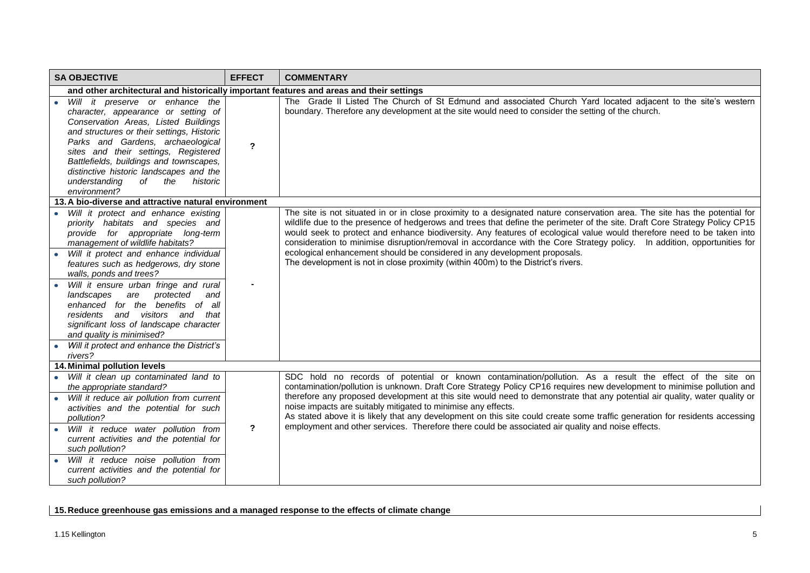| <b>SA OBJECTIVE</b>                                                                                                                                                                                                                                                                                                                                                                       | <b>EFFECT</b> | <b>COMMENTARY</b>                                                                                                                                                                                                                                                                                                                                                                                                                                                                                                                                                                                                                                                                |
|-------------------------------------------------------------------------------------------------------------------------------------------------------------------------------------------------------------------------------------------------------------------------------------------------------------------------------------------------------------------------------------------|---------------|----------------------------------------------------------------------------------------------------------------------------------------------------------------------------------------------------------------------------------------------------------------------------------------------------------------------------------------------------------------------------------------------------------------------------------------------------------------------------------------------------------------------------------------------------------------------------------------------------------------------------------------------------------------------------------|
| and other architectural and historically important features and areas and their settings                                                                                                                                                                                                                                                                                                  |               |                                                                                                                                                                                                                                                                                                                                                                                                                                                                                                                                                                                                                                                                                  |
| Will it preserve or enhance the<br>character, appearance or setting of<br>Conservation Areas, Listed Buildings<br>and structures or their settings, Historic<br>Parks and Gardens, archaeological<br>sites and their settings, Registered<br>Battlefields, buildings and townscapes,<br>distinctive historic landscapes and the<br>understanding<br>of<br>the<br>historic<br>environment? | $\mathbf{r}$  | The Grade II Listed The Church of St Edmund and associated Church Yard located adjacent to the site's western<br>boundary. Therefore any development at the site would need to consider the setting of the church.                                                                                                                                                                                                                                                                                                                                                                                                                                                               |
| 13. A bio-diverse and attractive natural environment                                                                                                                                                                                                                                                                                                                                      |               |                                                                                                                                                                                                                                                                                                                                                                                                                                                                                                                                                                                                                                                                                  |
| Will it protect and enhance existing<br>priority habitats and species and<br>provide for appropriate long-term<br>management of wildlife habitats?<br>Will it protect and enhance individual<br>features such as hedgerows, dry stone                                                                                                                                                     |               | The site is not situated in or in close proximity to a designated nature conservation area. The site has the potential for<br>wildlife due to the presence of hedgerows and trees that define the perimeter of the site. Draft Core Strategy Policy CP15<br>would seek to protect and enhance biodiversity. Any features of ecological value would therefore need to be taken into<br>consideration to minimise disruption/removal in accordance with the Core Strategy policy. In addition, opportunities for<br>ecological enhancement should be considered in any development proposals.<br>The development is not in close proximity (within 400m) to the District's rivers. |
| walls, ponds and trees?                                                                                                                                                                                                                                                                                                                                                                   |               |                                                                                                                                                                                                                                                                                                                                                                                                                                                                                                                                                                                                                                                                                  |
| Will it ensure urban fringe and rural<br>are protected<br>landscapes<br>and<br>enhanced for the benefits of all<br>residents and visitors and that<br>significant loss of landscape character<br>and quality is minimised?<br>Will it protect and enhance the District's                                                                                                                  |               |                                                                                                                                                                                                                                                                                                                                                                                                                                                                                                                                                                                                                                                                                  |
| rivers?                                                                                                                                                                                                                                                                                                                                                                                   |               |                                                                                                                                                                                                                                                                                                                                                                                                                                                                                                                                                                                                                                                                                  |
| 14. Minimal pollution levels                                                                                                                                                                                                                                                                                                                                                              |               |                                                                                                                                                                                                                                                                                                                                                                                                                                                                                                                                                                                                                                                                                  |
| Will it clean up contaminated land to<br>the appropriate standard?<br>Will it reduce air pollution from current<br>activities and the potential for such<br>pollution?                                                                                                                                                                                                                    |               | SDC hold no records of potential or known contamination/pollution. As a result the effect of the site on<br>contamination/pollution is unknown. Draft Core Strategy Policy CP16 requires new development to minimise pollution and<br>therefore any proposed development at this site would need to demonstrate that any potential air quality, water quality or<br>noise impacts are suitably mitigated to minimise any effects.<br>As stated above it is likely that any development on this site could create some traffic generation for residents accessing                                                                                                                 |
| Will it reduce water pollution from<br>current activities and the potential for<br>such pollution?<br>Will it reduce noise pollution from<br>current activities and the potential for<br>such pollution?                                                                                                                                                                                  | $\mathbf{r}$  | employment and other services. Therefore there could be associated air quality and noise effects.                                                                                                                                                                                                                                                                                                                                                                                                                                                                                                                                                                                |

**15.Reduce greenhouse gas emissions and a managed response to the effects of climate change**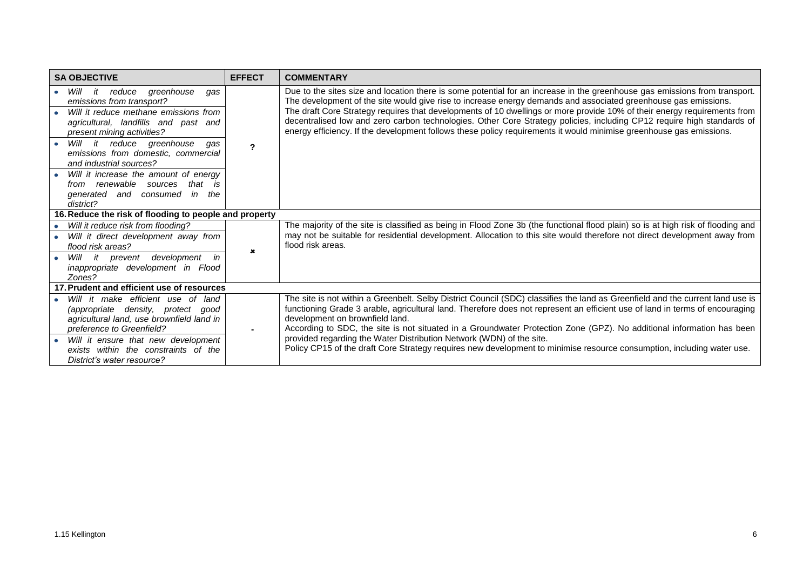| <b>SA OBJECTIVE</b>                                                                                                                                                                                                                                                                                                                                                                    | <b>EFFECT</b>         | <b>COMMENTARY</b>                                                                                                                                                                                                                                                                                                                                                                                                                                                                                                                                                                                                          |  |
|----------------------------------------------------------------------------------------------------------------------------------------------------------------------------------------------------------------------------------------------------------------------------------------------------------------------------------------------------------------------------------------|-----------------------|----------------------------------------------------------------------------------------------------------------------------------------------------------------------------------------------------------------------------------------------------------------------------------------------------------------------------------------------------------------------------------------------------------------------------------------------------------------------------------------------------------------------------------------------------------------------------------------------------------------------------|--|
| Will it reduce greenhouse<br>qas<br>$\bullet$<br>emissions from transport?<br>Will it reduce methane emissions from<br>agricultural, landfills and past and<br>present mining activities?<br>it reduce<br>greenhouse<br>Will<br>qas<br>emissions from domestic, commercial<br>and industrial sources?<br>Will it increase the amount of energy<br>from renewable sources<br>that<br>is | 2                     | Due to the sites size and location there is some potential for an increase in the greenhouse gas emissions from transport.<br>The development of the site would give rise to increase energy demands and associated greenhouse gas emissions.<br>The draft Core Strategy requires that developments of 10 dwellings or more provide 10% of their energy requirements from<br>decentralised low and zero carbon technologies. Other Core Strategy policies, including CP12 require high standards of<br>energy efficiency. If the development follows these policy requirements it would minimise greenhouse gas emissions. |  |
| generated and consumed<br>in<br>the<br>district?<br>16. Reduce the risk of flooding to people and property                                                                                                                                                                                                                                                                             |                       |                                                                                                                                                                                                                                                                                                                                                                                                                                                                                                                                                                                                                            |  |
|                                                                                                                                                                                                                                                                                                                                                                                        |                       |                                                                                                                                                                                                                                                                                                                                                                                                                                                                                                                                                                                                                            |  |
| Will it reduce risk from flooding?<br>Will it direct development away from<br>flood risk areas?                                                                                                                                                                                                                                                                                        | $\boldsymbol{\kappa}$ | The majority of the site is classified as being in Flood Zone 3b (the functional flood plain) so is at high risk of flooding and<br>may not be suitable for residential development. Allocation to this site would therefore not direct development away from<br>flood risk areas.                                                                                                                                                                                                                                                                                                                                         |  |
| Will it prevent development<br>in<br>inappropriate development in Flood<br>Zones?                                                                                                                                                                                                                                                                                                      |                       |                                                                                                                                                                                                                                                                                                                                                                                                                                                                                                                                                                                                                            |  |
| 17. Prudent and efficient use of resources                                                                                                                                                                                                                                                                                                                                             |                       |                                                                                                                                                                                                                                                                                                                                                                                                                                                                                                                                                                                                                            |  |
| Will it make efficient use of land<br>(appropriate density, protect good<br>agricultural land, use brownfield land in<br>preference to Greenfield?                                                                                                                                                                                                                                     | $\blacksquare$        | The site is not within a Greenbelt. Selby District Council (SDC) classifies the land as Greenfield and the current land use is<br>functioning Grade 3 arable, agricultural land. Therefore does not represent an efficient use of land in terms of encouraging<br>development on brownfield land.<br>According to SDC, the site is not situated in a Groundwater Protection Zone (GPZ). No additional information has been                                                                                                                                                                                                 |  |
| Will it ensure that new development<br>exists within the constraints of the<br>District's water resource?                                                                                                                                                                                                                                                                              |                       | provided regarding the Water Distribution Network (WDN) of the site.<br>Policy CP15 of the draft Core Strategy requires new development to minimise resource consumption, including water use.                                                                                                                                                                                                                                                                                                                                                                                                                             |  |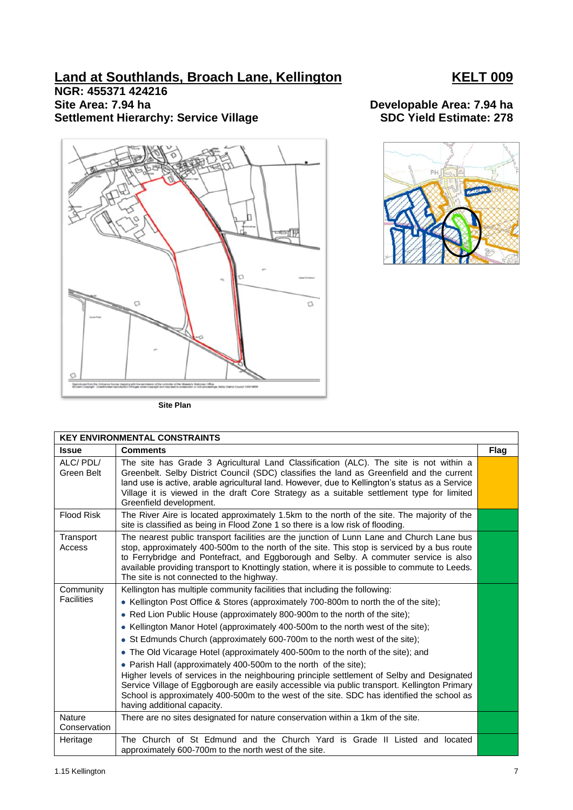# **Land at Southlands, Broach Lane, Kellington KELT 009**

# **NGR: 455371 424216 Site Area: 7.94 ha Developable Area: 7.94 ha Settlement Hierarchy: Service Village SDC Yield Estimate: 278**



**Site Plan**

### **KEY ENVIRONMENTAL CONSTRAINTS Issue Comments Flag** ALC/ PDL/ Green Belt The site has Grade 3 Agricultural Land Classification (ALC). The site is not within a Greenbelt. Selby District Council (SDC) classifies the land as Greenfield and the current land use is active, arable agricultural land. However, due to Kellington's status as a Service Village it is viewed in the draft Core Strategy as a suitable settlement type for limited Greenfield development. Flood Risk The River Aire is located approximately 1.5km to the north of the site. The majority of the site is classified as being in Flood Zone 1 so there is a low risk of flooding. **Transport** Access The nearest public transport facilities are the junction of Lunn Lane and Church Lane bus stop, approximately 400-500m to the north of the site. This stop is serviced by a bus route to Ferrybridge and Pontefract, and Eggborough and Selby. A commuter service is also available providing transport to Knottingly station, where it is possible to commute to Leeds. The site is not connected to the highway. **Community Facilities** Kellington has multiple community facilities that including the following: • Kellington Post Office & Stores (approximately 700-800m to north the of the site); • Red Lion Public House (approximately 800-900m to the north of the site); • Kellington Manor Hotel (approximately 400-500m to the north west of the site); • St Edmunds Church (approximately 600-700m to the north west of the site); The Old Vicarage Hotel (approximately 400-500m to the north of the site); and • Parish Hall (approximately 400-500m to the north of the site); Higher levels of services in the neighbouring principle settlement of Selby and Designated Service Village of Eggborough are easily accessible via public transport. Kellington Primary School is approximately 400-500m to the west of the site. SDC has identified the school as having additional capacity. **Nature Conservation** There are no sites designated for nature conservation within a 1km of the site. Heritage | The Church of St Edmund and the Church Yard is Grade II Listed and located

approximately 600-700m to the north west of the site.

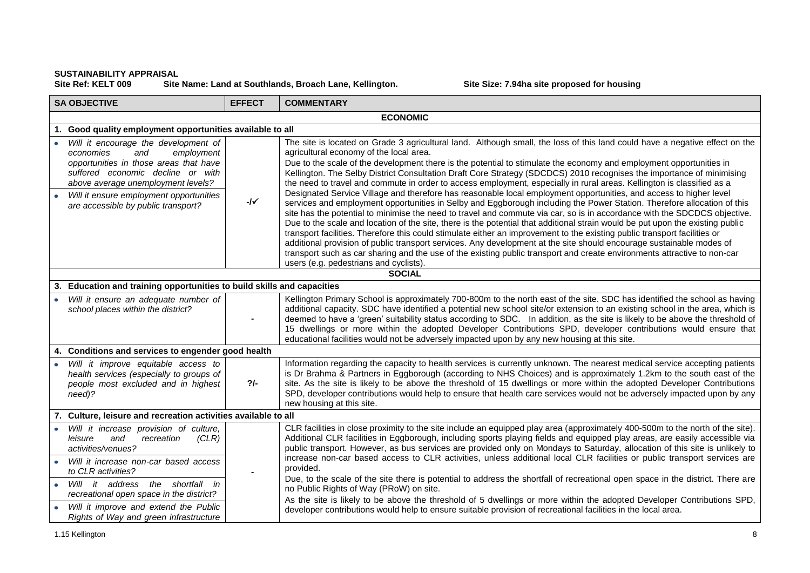## **SUSTAINABILITY APPRAISAL** Site Name: Land at Southlands, Broach Lane, Kellington. Site Size: 7.94ha site proposed for housing

| <b>SA OBJECTIVE</b>                                                                                                                                                                         | <b>EFFECT</b> | <b>COMMENTARY</b>                                                                                                                                                                                                                                                                                                                                                                                                                                                                                                                                                                                                                                                                                                                                                                                                                                                                                                                       |  |
|---------------------------------------------------------------------------------------------------------------------------------------------------------------------------------------------|---------------|-----------------------------------------------------------------------------------------------------------------------------------------------------------------------------------------------------------------------------------------------------------------------------------------------------------------------------------------------------------------------------------------------------------------------------------------------------------------------------------------------------------------------------------------------------------------------------------------------------------------------------------------------------------------------------------------------------------------------------------------------------------------------------------------------------------------------------------------------------------------------------------------------------------------------------------------|--|
|                                                                                                                                                                                             |               | <b>ECONOMIC</b>                                                                                                                                                                                                                                                                                                                                                                                                                                                                                                                                                                                                                                                                                                                                                                                                                                                                                                                         |  |
| Good quality employment opportunities available to all                                                                                                                                      |               |                                                                                                                                                                                                                                                                                                                                                                                                                                                                                                                                                                                                                                                                                                                                                                                                                                                                                                                                         |  |
| Will it encourage the development of<br>and<br>employment<br>economies<br>opportunities in those areas that have<br>suffered economic decline or with<br>above average unemployment levels? |               | The site is located on Grade 3 agricultural land. Although small, the loss of this land could have a negative effect on the<br>agricultural economy of the local area.<br>Due to the scale of the development there is the potential to stimulate the economy and employment opportunities in<br>Kellington. The Selby District Consultation Draft Core Strategy (SDCDCS) 2010 recognises the importance of minimising<br>the need to travel and commute in order to access employment, especially in rural areas. Kellington is classified as a                                                                                                                                                                                                                                                                                                                                                                                        |  |
| Will it ensure employment opportunities<br>are accessible by public transport?                                                                                                              | $-1$          | Designated Service Village and therefore has reasonable local employment opportunities, and access to higher level<br>services and employment opportunities in Selby and Eggborough including the Power Station. Therefore allocation of this<br>site has the potential to minimise the need to travel and commute via car, so is in accordance with the SDCDCS objective.<br>Due to the scale and location of the site, there is the potential that additional strain would be put upon the existing public<br>transport facilities. Therefore this could stimulate either an improvement to the existing public transport facilities or<br>additional provision of public transport services. Any development at the site should encourage sustainable modes of<br>transport such as car sharing and the use of the existing public transport and create environments attractive to non-car<br>users (e.g. pedestrians and cyclists). |  |
|                                                                                                                                                                                             |               | <b>SOCIAL</b>                                                                                                                                                                                                                                                                                                                                                                                                                                                                                                                                                                                                                                                                                                                                                                                                                                                                                                                           |  |
| 3. Education and training opportunities to build skills and capacities                                                                                                                      |               |                                                                                                                                                                                                                                                                                                                                                                                                                                                                                                                                                                                                                                                                                                                                                                                                                                                                                                                                         |  |
| Will it ensure an adequate number of<br>school places within the district?                                                                                                                  |               | Kellington Primary School is approximately 700-800m to the north east of the site. SDC has identified the school as having<br>additional capacity. SDC have identified a potential new school site/or extension to an existing school in the area, which is<br>deemed to have a 'green' suitability status according to SDC. In addition, as the site is likely to be above the threshold of<br>15 dwellings or more within the adopted Developer Contributions SPD, developer contributions would ensure that<br>educational facilities would not be adversely impacted upon by any new housing at this site.                                                                                                                                                                                                                                                                                                                          |  |
| 4. Conditions and services to engender good health                                                                                                                                          |               |                                                                                                                                                                                                                                                                                                                                                                                                                                                                                                                                                                                                                                                                                                                                                                                                                                                                                                                                         |  |
| Will it improve equitable access to<br>health services (especially to groups of<br>people most excluded and in highest<br>need)?                                                            | $2/-$         | Information regarding the capacity to health services is currently unknown. The nearest medical service accepting patients<br>is Dr Brahma & Partners in Eggborough (according to NHS Choices) and is approximately 1.2km to the south east of the<br>site. As the site is likely to be above the threshold of 15 dwellings or more within the adopted Developer Contributions<br>SPD, developer contributions would help to ensure that health care services would not be adversely impacted upon by any<br>new housing at this site.                                                                                                                                                                                                                                                                                                                                                                                                  |  |
| 7. Culture, leisure and recreation activities available to all                                                                                                                              |               |                                                                                                                                                                                                                                                                                                                                                                                                                                                                                                                                                                                                                                                                                                                                                                                                                                                                                                                                         |  |
| Will it increase provision of culture,<br>and<br>(CLR)<br>leisure<br>recreation<br>activities/venues?<br>Will it increase non-car based access                                              |               | CLR facilities in close proximity to the site include an equipped play area (approximately 400-500m to the north of the site).<br>Additional CLR facilities in Eggborough, including sports playing fields and equipped play areas, are easily accessible via<br>public transport. However, as bus services are provided only on Mondays to Saturday, allocation of this site is unlikely to<br>increase non-car based access to CLR activities, unless additional local CLR facilities or public transport services are                                                                                                                                                                                                                                                                                                                                                                                                                |  |
| to CLR activities?<br>Will it address<br>the shortfall in<br>$\bullet$<br>recreational open space in the district?                                                                          |               | provided.<br>Due, to the scale of the site there is potential to address the shortfall of recreational open space in the district. There are<br>no Public Rights of Way (PRoW) on site.                                                                                                                                                                                                                                                                                                                                                                                                                                                                                                                                                                                                                                                                                                                                                 |  |
| Will it improve and extend the Public<br>Rights of Way and green infrastructure                                                                                                             |               | As the site is likely to be above the threshold of 5 dwellings or more within the adopted Developer Contributions SPD,<br>developer contributions would help to ensure suitable provision of recreational facilities in the local area.                                                                                                                                                                                                                                                                                                                                                                                                                                                                                                                                                                                                                                                                                                 |  |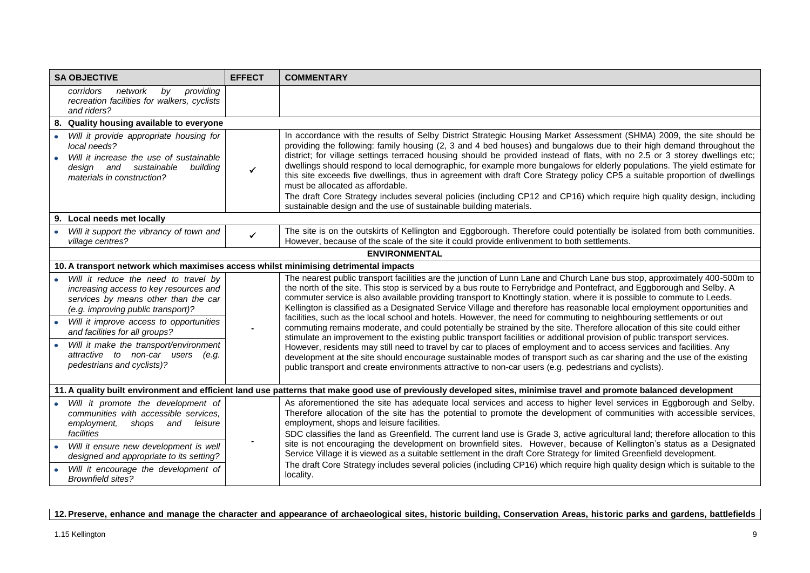| <b>SA OBJECTIVE</b>                                                                                                                                                                                                                                                                                                                                       | <b>EFFECT</b>  | <b>COMMENTARY</b>                                                                                                                                                                                                                                                                                                                                                                                                                                                                                                                                                                                                                                                                                                                                                                                                                                                                                                                                                                                                                                                                                                                                                                                                                                         |
|-----------------------------------------------------------------------------------------------------------------------------------------------------------------------------------------------------------------------------------------------------------------------------------------------------------------------------------------------------------|----------------|-----------------------------------------------------------------------------------------------------------------------------------------------------------------------------------------------------------------------------------------------------------------------------------------------------------------------------------------------------------------------------------------------------------------------------------------------------------------------------------------------------------------------------------------------------------------------------------------------------------------------------------------------------------------------------------------------------------------------------------------------------------------------------------------------------------------------------------------------------------------------------------------------------------------------------------------------------------------------------------------------------------------------------------------------------------------------------------------------------------------------------------------------------------------------------------------------------------------------------------------------------------|
| by providing<br>corridors<br>network<br>recreation facilities for walkers, cyclists<br>and riders?                                                                                                                                                                                                                                                        |                |                                                                                                                                                                                                                                                                                                                                                                                                                                                                                                                                                                                                                                                                                                                                                                                                                                                                                                                                                                                                                                                                                                                                                                                                                                                           |
| 8. Quality housing available to everyone                                                                                                                                                                                                                                                                                                                  |                |                                                                                                                                                                                                                                                                                                                                                                                                                                                                                                                                                                                                                                                                                                                                                                                                                                                                                                                                                                                                                                                                                                                                                                                                                                                           |
| • Will it provide appropriate housing for<br>local needs?<br>Will it increase the use of sustainable<br>design and sustainable<br>building<br>materials in construction?                                                                                                                                                                                  | $\checkmark$   | In accordance with the results of Selby District Strategic Housing Market Assessment (SHMA) 2009, the site should be<br>providing the following: family housing (2, 3 and 4 bed houses) and bungalows due to their high demand throughout the<br>district; for village settings terraced housing should be provided instead of flats, with no 2.5 or 3 storey dwellings etc;<br>dwellings should respond to local demographic, for example more bungalows for elderly populations. The yield estimate for<br>this site exceeds five dwellings, thus in agreement with draft Core Strategy policy CP5 a suitable proportion of dwellings<br>must be allocated as affordable.<br>The draft Core Strategy includes several policies (including CP12 and CP16) which require high quality design, including<br>sustainable design and the use of sustainable building materials.                                                                                                                                                                                                                                                                                                                                                                              |
| 9. Local needs met locally                                                                                                                                                                                                                                                                                                                                |                |                                                                                                                                                                                                                                                                                                                                                                                                                                                                                                                                                                                                                                                                                                                                                                                                                                                                                                                                                                                                                                                                                                                                                                                                                                                           |
| Will it support the vibrancy of town and<br>village centres?                                                                                                                                                                                                                                                                                              | $\checkmark$   | The site is on the outskirts of Kellington and Eggborough. Therefore could potentially be isolated from both communities.<br>However, because of the scale of the site it could provide enlivenment to both settlements.                                                                                                                                                                                                                                                                                                                                                                                                                                                                                                                                                                                                                                                                                                                                                                                                                                                                                                                                                                                                                                  |
|                                                                                                                                                                                                                                                                                                                                                           |                | <b>ENVIRONMENTAL</b>                                                                                                                                                                                                                                                                                                                                                                                                                                                                                                                                                                                                                                                                                                                                                                                                                                                                                                                                                                                                                                                                                                                                                                                                                                      |
| 10. A transport network which maximises access whilst minimising detrimental impacts                                                                                                                                                                                                                                                                      |                |                                                                                                                                                                                                                                                                                                                                                                                                                                                                                                                                                                                                                                                                                                                                                                                                                                                                                                                                                                                                                                                                                                                                                                                                                                                           |
| Will it reduce the need to travel by<br>increasing access to key resources and<br>services by means other than the car<br>(e.g. improving public transport)?<br>Will it improve access to opportunities<br>and facilities for all groups?<br>Will it make the transport/environment<br>attractive to non-car users<br>(e.g.<br>pedestrians and cyclists)? | $\blacksquare$ | The nearest public transport facilities are the junction of Lunn Lane and Church Lane bus stop, approximately 400-500m to<br>the north of the site. This stop is serviced by a bus route to Ferrybridge and Pontefract, and Eggborough and Selby. A<br>commuter service is also available providing transport to Knottingly station, where it is possible to commute to Leeds.<br>Kellington is classified as a Designated Service Village and therefore has reasonable local employment opportunities and<br>facilities, such as the local school and hotels. However, the need for commuting to neighbouring settlements or out<br>commuting remains moderate, and could potentially be strained by the site. Therefore allocation of this site could either<br>stimulate an improvement to the existing public transport facilities or additional provision of public transport services.<br>However, residents may still need to travel by car to places of employment and to access services and facilities. Any<br>development at the site should encourage sustainable modes of transport such as car sharing and the use of the existing<br>public transport and create environments attractive to non-car users (e.g. pedestrians and cyclists). |
| 11. A quality built environment and efficient land use patterns that make good use of previously developed sites, minimise travel and promote balanced development                                                                                                                                                                                        |                |                                                                                                                                                                                                                                                                                                                                                                                                                                                                                                                                                                                                                                                                                                                                                                                                                                                                                                                                                                                                                                                                                                                                                                                                                                                           |
| Will it promote the development of<br>communities with accessible services,<br>employment,<br>shops<br>and<br>leisure<br>facilities<br>Will it ensure new development is well<br>designed and appropriate to its setting?<br>Will it encourage the development of<br><b>Brownfield sites?</b>                                                             |                | As aforementioned the site has adequate local services and access to higher level services in Eggborough and Selby.<br>Therefore allocation of the site has the potential to promote the development of communities with accessible services,<br>employment, shops and leisure facilities.<br>SDC classifies the land as Greenfield. The current land use is Grade 3, active agricultural land; therefore allocation to this<br>site is not encouraging the development on brownfield sites. However, because of Kellington's status as a Designated<br>Service Village it is viewed as a suitable settlement in the draft Core Strategy for limited Greenfield development.<br>The draft Core Strategy includes several policies (including CP16) which require high quality design which is suitable to the<br>locality.                                                                                                                                                                                                                                                                                                                                                                                                                                |

# **12. Preserve, enhance and manage the character and appearance of archaeological sites, historic building, Conservation Areas, historic parks and gardens, battlefields**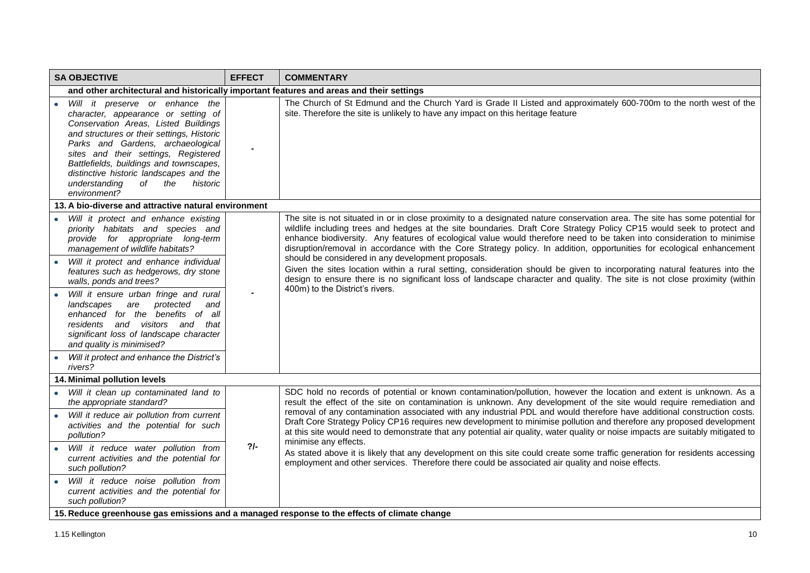| <b>SA OBJECTIVE</b>                                                                                                                                                                                                                                                                                                                                                                                                                                                                                                                                                  | <b>EFFECT</b> | <b>COMMENTARY</b>                                                                                                                                                                                                                                                                                                                                                                                                                                                                                                                                                                                                                                                                                                                                                                                                                                          |  |
|----------------------------------------------------------------------------------------------------------------------------------------------------------------------------------------------------------------------------------------------------------------------------------------------------------------------------------------------------------------------------------------------------------------------------------------------------------------------------------------------------------------------------------------------------------------------|---------------|------------------------------------------------------------------------------------------------------------------------------------------------------------------------------------------------------------------------------------------------------------------------------------------------------------------------------------------------------------------------------------------------------------------------------------------------------------------------------------------------------------------------------------------------------------------------------------------------------------------------------------------------------------------------------------------------------------------------------------------------------------------------------------------------------------------------------------------------------------|--|
| and other architectural and historically important features and areas and their settings                                                                                                                                                                                                                                                                                                                                                                                                                                                                             |               |                                                                                                                                                                                                                                                                                                                                                                                                                                                                                                                                                                                                                                                                                                                                                                                                                                                            |  |
| Will it preserve or enhance the<br>character, appearance or setting of<br>Conservation Areas, Listed Buildings<br>and structures or their settings, Historic<br>Parks and Gardens, archaeological<br>sites and their settings, Registered<br>Battlefields, buildings and townscapes,<br>distinctive historic landscapes and the<br>understanding<br>of the<br>historic<br>environment?                                                                                                                                                                               |               | The Church of St Edmund and the Church Yard is Grade II Listed and approximately 600-700m to the north west of the<br>site. Therefore the site is unlikely to have any impact on this heritage feature                                                                                                                                                                                                                                                                                                                                                                                                                                                                                                                                                                                                                                                     |  |
| 13. A bio-diverse and attractive natural environment                                                                                                                                                                                                                                                                                                                                                                                                                                                                                                                 |               |                                                                                                                                                                                                                                                                                                                                                                                                                                                                                                                                                                                                                                                                                                                                                                                                                                                            |  |
| Will it protect and enhance existing<br>$\bullet$<br>priority habitats and species and<br>provide for appropriate long-term<br>management of wildlife habitats?<br>Will it protect and enhance individual<br>features such as hedgerows, dry stone<br>walls, ponds and trees?<br>Will it ensure urban fringe and rural<br>are protected<br>landscapes<br>and<br>enhanced for the benefits of all<br>residents and visitors and that<br>significant loss of landscape character<br>and quality is minimised?<br>Will it protect and enhance the District's<br>rivers? |               | The site is not situated in or in close proximity to a designated nature conservation area. The site has some potential for<br>wildlife including trees and hedges at the site boundaries. Draft Core Strategy Policy CP15 would seek to protect and<br>enhance biodiversity. Any features of ecological value would therefore need to be taken into consideration to minimise<br>disruption/removal in accordance with the Core Strategy policy. In addition, opportunities for ecological enhancement<br>should be considered in any development proposals.<br>Given the sites location within a rural setting, consideration should be given to incorporating natural features into the<br>design to ensure there is no significant loss of landscape character and quality. The site is not close proximity (within<br>400m) to the District's rivers. |  |
| 14. Minimal pollution levels                                                                                                                                                                                                                                                                                                                                                                                                                                                                                                                                         |               |                                                                                                                                                                                                                                                                                                                                                                                                                                                                                                                                                                                                                                                                                                                                                                                                                                                            |  |
| Will it clean up contaminated land to<br>the appropriate standard?<br>Will it reduce air pollution from current                                                                                                                                                                                                                                                                                                                                                                                                                                                      | $2/-$         | SDC hold no records of potential or known contamination/pollution, however the location and extent is unknown. As a<br>result the effect of the site on contamination is unknown. Any development of the site would require remediation and<br>removal of any contamination associated with any industrial PDL and would therefore have additional construction costs.                                                                                                                                                                                                                                                                                                                                                                                                                                                                                     |  |
| activities and the potential for such<br>pollution?                                                                                                                                                                                                                                                                                                                                                                                                                                                                                                                  |               | Draft Core Strategy Policy CP16 requires new development to minimise pollution and therefore any proposed development<br>at this site would need to demonstrate that any potential air quality, water quality or noise impacts are suitably mitigated to<br>minimise any effects.                                                                                                                                                                                                                                                                                                                                                                                                                                                                                                                                                                          |  |
| Will it reduce water pollution from<br>$\bullet$<br>current activities and the potential for<br>such pollution?                                                                                                                                                                                                                                                                                                                                                                                                                                                      |               | As stated above it is likely that any development on this site could create some traffic generation for residents accessing<br>employment and other services. Therefore there could be associated air quality and noise effects.                                                                                                                                                                                                                                                                                                                                                                                                                                                                                                                                                                                                                           |  |
| Will it reduce noise pollution from<br>current activities and the potential for<br>such pollution?                                                                                                                                                                                                                                                                                                                                                                                                                                                                   |               |                                                                                                                                                                                                                                                                                                                                                                                                                                                                                                                                                                                                                                                                                                                                                                                                                                                            |  |
| 15. Reduce greenhouse gas emissions and a managed response to the effects of climate change                                                                                                                                                                                                                                                                                                                                                                                                                                                                          |               |                                                                                                                                                                                                                                                                                                                                                                                                                                                                                                                                                                                                                                                                                                                                                                                                                                                            |  |